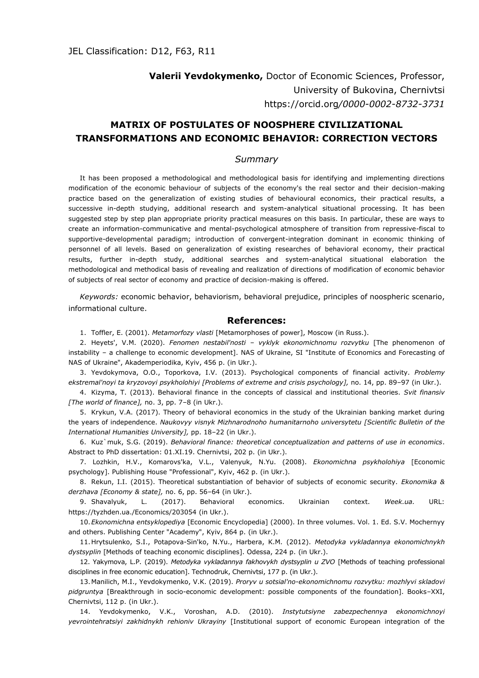**Valerіі Yevdokymenko,** Doctor of Economic Sciences, Professor, University of Bukovina, Chernivtsi https://orcid.org*/0000-0002-8732-3731*

## **MATRIX OF POSTULATES OF NOOSPHERE CIVILIZATIONAL TRANSFORMATIONS AND ECONOMIC BEHAVIOR: CORRECTION VECTORS**

## *Summary*

It has been proposed a methodological and methodological basis for identifying and implementing directions modification of the economic behaviour of subjects of the economy's the real sector and their decision-making practice based on the generalization of existing studies of behavioural economics, their practical results, a successive in-depth studying, additional research and system-analytical situational processing. It has been suggested step by step plan appropriate priority practical measures on this basis. In particular, these are ways to create an information-communicative and mental-psychological atmosphere of transition from repressive-fiscal to supportive-developmental paradigm; introduction of convergent-integration dominant in economic thinking of personnel of all levels. Based on generalization of existing researches of behavioral economy, their practical results, further in-depth study, additional searches and system-analytical situational elaboration the methodological and methodical basis of revealing and realization of directions of modification of economic behavior of subjects of real sector of economy and practice of decision-making is offered.

*Keywords:* economic behavior, behaviorism, behavioral prejudice, principles of noospheric scenario, informational culture.

## **References:**

1. Toffler, E. (2001). *Metamorfozy vlasti* [Metamorphoses of power], Moscow (in Russ.).

2. Heyets', V.M. (2020). *Fenomen nestabil'nosti – vyklyk ekonomichnomu rozvytku* [The phenomenon of instability – a challenge to economic development]. NAS of Ukraine, SI "Institute of Economics and Forecasting of NAS of Ukraine", Akademperiodika, Kyiv, 456 p. (in Ukr.).

3. Yevdokymova, O.O., Toporkova, I.V. (2013). Psychological components of financial activity. *Problemy ekstremal'noyi ta kryzovoyi psykholohiyi [Problems of extreme and crisis psychology],* no. 14, pp. 89–97 (in Ukr.).

4. Kizyma, T. (2013). Behavioral finance in the concepts of classical and institutional theories. *Svit finansiv [The world of finance],* no. 3, pp. 7–8 (in Ukr.).

5. Krykun, V.A. (2017). Theory of behavioral economics in the study of the Ukrainian banking market during the years of independence. *Naukovyy visnyk Mizhnarodnoho humanitarnoho universytetu [Scientific Bulletin of the International Humanities University],* pp. 18–22 (in Ukr.).

6. Kuz`muk, S.G. (2019). *Behavioral finance: theoretical conceptualization and patterns of use in economics*. Abstract to PhD dissertation: 01.XI.19. Chernivtsi, 202 p. (in Ukr.).

7. Lozhkin, H.V., Komarovs'ka, V.L., Valenyuk, N.Yu. (2008). *Ekonomichna psykholohiya* [Economic psychology]. Publishing House "Professional", Kyiv, 462 p. (in Ukr.).

8. Rekun, I.I. (2015). Theoretical substantiation of behavior of subjects of economic security. *Ekonomika & derzhava [Economy & state],* no. 6, pp. 56–64 (in Ukr.).

9. Shavalyuk, L. (2017). Behavioral economics. Ukrainian context. *Week.ua.* URL: https://tyzhden.ua./Economics/203054 (in Ukr.).

10.*Ekonomichna entsyklopediya* [Economic Encyclopedia] (2000). In three volumes. Vol. 1. Ed. S.V. Mochernyy and others. Publishing Center "Academy", Kyiv, 864 p. (in Ukr.).

11.Hrytsulenko, S.I., Potapova-Sin'ko, N.Yu., Harbera, K.M. (2012). *Metodyka vykladannya ekonomichnykh dystsyplin* [Methods of teaching economic disciplines]. Odessa, 224 p. (in Ukr.).

12. Yakymova, L.P. (2019). *Metodyka vykladannya fakhovykh dystsyplin u ZVO* [Methods of teaching professional disciplines in free economic education]. Technodruk, Chernivtsi, 177 p. (in Ukr.).

13.Manilich, M.I., Yevdokymenko, V.K. (2019). *Proryv u sotsial'no-ekonomichnomu rozvytku: mozhlyvi skladovi pidgruntya* [Breakthrough in socio-economic development: possible components of the foundation]. Books–XXI, Chernivtsi, 112 p. (in Ukr.).

14. Yevdokymenko, V.K., Voroshan, A.D. (2010). *Instytutsiyne zabezpechennya ekonomichnoyi yevrointehratsiyi zakhidnykh rehioniv Ukrayiny* [Institutional support of economic European integration of the